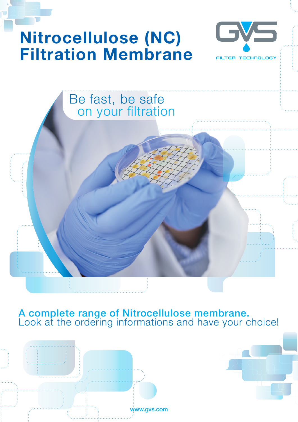# **Nitrocellulose (NC) Filtration Membrane**



## Be fast, be safe on your filtration

### A complete range of Nitrocellulose membrane. Look at the ordering informations and have your choice!



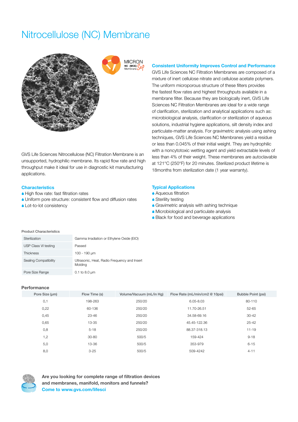### Nitrocellulose (NC) Membrane



GVS Life Sciences Nitrocellulose (NC) Filtration Membrane is an unsupported, hydrophilic membrane. Its rapid flow rate and high throughput make it ideal for use in diagnostic kit manufacturing applications.

#### **Characteristics**

- A High flow rate: fast filtration rates
- A Uniform pore structure: consistent flow and diffusion rates
- ▲ Lot-to-lot consistency

#### **Consistent Uniformity Improves Control and Performance**

GVS Life Sciences NC Filtration Membranes are composed of a mixture of inert cellulose nitrate and cellulose acetate polymers. The uniform microporous structure of these filters provides the fastest flow rates and highest throughputs available in a membrane filter. Because they are biologically inert, GVS Life Sciences NC Filtration Membranes are ideal for a wide range of clarification, sterilization and analytical applications such as: microbiological analysis, clarification or sterilization of aqueous solutions, industrial hygiene applications, silt density index and particulate-matter analysis. For gravimetric analysis using ashing techniques, GVS Life Sciences NC Membranes yield a residue or less than 0.045% of their initial weight. They are hydrophilic with a noncytotoxic wetting agent and yield extractable levels of less than 4% of their weight. These membranes are autoclavable at 121°C (250°F) for 20 minutes. Sterilized product lifetime is 18months from sterilization date (1 year warranty).

#### **Typical Applications**

- **A**queous filtration
- Sterility testing
- **A** Gravimetric analysis with ashing technique
- A Microbiological and particulate analysis
- **A Black for food and beverage applications**

#### Product Characteristics

| Sterilization         | Gamma Irradiation or Ethylene Oxide (EtO)               |
|-----------------------|---------------------------------------------------------|
| USP Class VI testing  | Passed                                                  |
| <b>Thickness</b>      | 100 - 190 µm                                            |
| Sealing Compatibility | Ultrasonic, Heat, Radio Frequency and Insert<br>Molding |
| Pore Size Range       | $0.1$ to $8.0 \mu m$                                    |

#### **Performance**

| Pore Size (um) | Flow Time (s) | Volume/Vacuum (mL/in Hg) | Flow Rate (mL/min/cm2 @ 10psi) | Bubble Point (psi) |
|----------------|---------------|--------------------------|--------------------------------|--------------------|
| 0,1            | 198-263       | 250/20                   | 6.05-8.03                      | 80-110             |
| 0,22           | 60-136        | 250/20                   | 11.70-26.51                    | $52 - 65$          |
| 0,45           | $23 - 46$     | 250/20                   | 34.58-69.16                    | $30 - 42$          |
| 0,65           | 13-35         | 250/20                   | 45.45-122.36                   | $25 - 42$          |
| 0,8            | $5 - 18$      | 250/20                   | 88.37-318.13                   | $11 - 19$          |
| ,2             | $30 - 80$     | 500/5                    | 159-424                        | $9 - 18$           |
| 5,0            | 13-36         | 500/5                    | 353-979                        | $6 - 15$           |
| 8,0            | $3 - 25$      | 500/5                    | 509-4242                       | $4 - 11$           |



**Are you looking for complete range of filtration devices and membranes, manifold, monitors and funnels? Come to www.gvs.com/lifesci**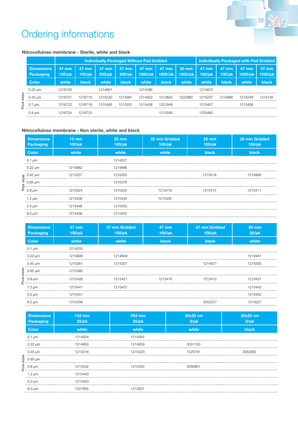

## Ordering informations

#### **Nitrocellulose membrane - Sterile, white and black**

|       |                                | <b>Individually Packaged Without Pad Gridded</b> |                    |                 |                    |                  |                            | <b>Individually Packaged with Pad Gridded</b> |                 |                    |                    |                  |
|-------|--------------------------------|--------------------------------------------------|--------------------|-----------------|--------------------|------------------|----------------------------|-----------------------------------------------|-----------------|--------------------|--------------------|------------------|
|       | <b>Dimensions</b><br>Packaging | 47 mm<br>$100$ /pk                               | 47 mm<br>$100$ /pk | 47 mm<br>200/pk | 47 mm<br>$200$ /pk | 47 mm<br>1000/pk | $47 \text{ mm}$<br>1000/pk | 50 mm<br>1000/pk                              | 47 mm<br>100/pk | 47 mm<br>$100$ /pk | $47$ mm<br>1000/pk | 47 mm<br>1000/pk |
|       | <b>Color</b>                   | white                                            | black              | white           | black              | white            | black                      | white                                         | white           | black              | white              | <b>black</b>     |
|       | $0.22 \text{ µm}$              | 1216720                                          |                    | 1214861         |                    | 1214396          |                            |                                               | 1214872         |                    |                    |                  |
| sizes | $0.45 \text{ µm}$              | 1216721                                          | 1216719            | 1215230         | 1214991            | 1214923          | 1213643                    | 1222980                                       | 1215237         | 1214866            | 1215249            | 1213145          |
| ore   | $0.7 \text{ µm}$               | 1216722                                          | 1216718            | 1215406         | 1213331            | 1215408          | 1221948                    |                                               | 1215407         |                    | 1215409            |                  |
|       | $0.8 \text{ µm}$               | 1216724                                          | 1216723            |                 |                    |                  | 1215590                    |                                               | 1225460         |                    |                    |                  |

#### **Nitrocellulose membrane - Non sterile, white and black**

| <b>Dimensions</b><br>Packaging | $13 \text{ mm}$<br>$100$ /pk | $25 \text{ mm}$<br>$100$ /pk                                                                                                                                                                                                                                                         | 25 mm Gridded<br>100/pk | $25 \text{ mm}$<br>$100$ /pk | 25 mm Gridded<br>$100$ /pk |
|--------------------------------|------------------------------|--------------------------------------------------------------------------------------------------------------------------------------------------------------------------------------------------------------------------------------------------------------------------------------|-------------------------|------------------------------|----------------------------|
| <b>Color</b>                   | white                        | white                                                                                                                                                                                                                                                                                | white                   | black                        | <b>black</b>               |
| $0.1 \mu m$                    |                              | 1214527                                                                                                                                                                                                                                                                              |                         |                              |                            |
| $0.22 \mu m$                   | 1214882                      |                                                                                                                                                                                                                                                                                      |                         |                              |                            |
|                                |                              |                                                                                                                                                                                                                                                                                      |                         |                              |                            |
|                                |                              |                                                                                                                                                                                                                                                                                      |                         |                              |                            |
|                                |                              |                                                                                                                                                                                                                                                                                      |                         |                              |                            |
| 1.2 $\mu$ m                    |                              |                                                                                                                                                                                                                                                                                      |                         |                              |                            |
| $5.0 \mu m$                    | 1215448                      | 1215450                                                                                                                                                                                                                                                                              |                         |                              |                            |
| $8.0 \mu m$                    | 1214456                      | 1215455                                                                                                                                                                                                                                                                              |                         |                              |                            |
|                                |                              | $\begin{array}{ccccccccccccc}\n & 0.45 \text{ }\mu\text{m} & 1215263 & 1215019 & 1214969 & 1214969 & 121501 & 1214969 & 121501 & 121501 & 1214969 & 121501 & 121501 & 121501 & 121501 & 121501 & 121501 & 121501 & 121501 & 121501 & 121501 & 121501 & 121501 & 121501 & 121501 & 1$ |                         |                              |                            |

|      |                                                                                                                                                                                                                                                                          | 1215257                       | 1210203                   |                        | 1712012                 | 1214909                  |
|------|--------------------------------------------------------------------------------------------------------------------------------------------------------------------------------------------------------------------------------------------------------------------------|-------------------------------|---------------------------|------------------------|-------------------------|--------------------------|
|      | $\frac{8}{8}$<br>$\frac{0.45 \text{ }\mu\text{m}}{0.65 \text{ }\mu\text{m}}$<br>$\frac{8}{8}$<br>$\frac{0.45 \text{ }\mu\text{m}}{0.65 \text{ }\mu\text{m}}$                                                                                                             |                               | 1215376                   |                        |                         |                          |
|      |                                                                                                                                                                                                                                                                          | 1215424                       | 1215425                   | 1215419                | 1215415                 | 1215411                  |
|      | $1.2 \mu m$                                                                                                                                                                                                                                                              | 1215438                       | 1215440                   | 1215435                |                         |                          |
|      | $5.0 \mu m$                                                                                                                                                                                                                                                              | 1215448                       | 1215450                   |                        |                         |                          |
|      | $8.0 \mu m$                                                                                                                                                                                                                                                              | 1214456                       | 1215455                   |                        |                         |                          |
|      | <b>Dimensions</b><br><b>Packaging</b>                                                                                                                                                                                                                                    | <b>47 mm</b><br>100/pk        | 47 mm Gridded<br>100/pk   | <b>47 mm</b><br>100/pk | 47 mm Gridded<br>100/pk | <b>90 mm</b><br>$25$ /pk |
|      | <b>Color</b>                                                                                                                                                                                                                                                             | white                         | white                     | black                  | black                   | white                    |
|      | $0.1 \mu m$                                                                                                                                                                                                                                                              | 1214533                       |                           |                        |                         |                          |
|      | $0.22 \mu m$                                                                                                                                                                                                                                                             | 1214909                       | 1214839                   |                        |                         | 1214941                  |
|      | $0.45 \mu m$                                                                                                                                                                                                                                                             | 1215281<br>.                  | 1215207<br>.              |                        | 1214977                 | 1215305<br>.             |
|      |                                                                                                                                                                                                                                                                          | 1215380<br>.                  |                           |                        |                         |                          |
|      | $\begin{array}{c}\n\frac{3}{8} & \dots & \dots & \dots \\ \frac{3}{8} & \dots & \dots & \dots \\ \frac{3}{8} & \dots & \dots & \dots & \dots \\ \frac{3}{8} & \dots & \dots & \dots & \dots & \dots \\ \frac{3}{8} & \dots & \dots & \dots & \dots & \dots\n\end{array}$ | 1215428                       | 1215421                   | 1215416                | 1215412                 | 1215431                  |
|      | $1.2 \mu m$                                                                                                                                                                                                                                                              | 1215441                       | 1215437                   |                        |                         | 1215442                  |
|      | $5.0 \mu m$                                                                                                                                                                                                                                                              | 1215451<br>.                  |                           |                        |                         | 1215452                  |
|      | $8.0 \mu m$                                                                                                                                                                                                                                                              | 1215456                       |                           |                        | 3053377                 | 1215027                  |
|      | <b>Dimensions</b><br><b>Packaging</b>                                                                                                                                                                                                                                    | <b>142 mm</b><br><b>25/pk</b> | <b>293 mm</b><br>$25$ /pk |                        | 20x20 cm<br>$5$ /pk     | 20x20 cm<br>$5$ /pk      |
|      | <b>Color</b>                                                                                                                                                                                                                                                             | white                         | white                     |                        | white                   | black                    |
|      | $0.1 \mu m$                                                                                                                                                                                                                                                              | 1214554                       | 1214565                   |                        |                         |                          |
|      | $0.22 \mu m$                                                                                                                                                                                                                                                             | 1214950                       | 1214959                   |                        | 3031100<br>.            |                          |
|      | $0.45 \mu m$                                                                                                                                                                                                                                                             | 1215316                       | 1215323                   |                        | 1225781                 | 3053082                  |
|      | $rac{6}{8}$<br>$rac{1}{8}$<br>$0.65 \mu m$                                                                                                                                                                                                                               |                               |                           |                        |                         |                          |
| Pore | $0.8 \,\mathrm{\upmu m}$                                                                                                                                                                                                                                                 | 1215432                       | 1215433                   |                        | 3050851                 |                          |
|      |                                                                                                                                                                                                                                                                          |                               |                           |                        |                         |                          |

| <b>Dimensions</b><br>Packaging | 142 mm<br>$25$ /pk | 293 mm<br>$25$ /pk | 20x20 cm<br>$5$ /pk | 20x20 cm<br>$5$ /pk                                                                                                                                                                                                                                                         |
|--------------------------------|--------------------|--------------------|---------------------|-----------------------------------------------------------------------------------------------------------------------------------------------------------------------------------------------------------------------------------------------------------------------------|
| <b>Color</b>                   | white              | white              | white               | black                                                                                                                                                                                                                                                                       |
| $0.1 \mu m$                    | 1214554            | 1214565            |                     |                                                                                                                                                                                                                                                                             |
| $0.22 \mu m$                   | 1214950            | 1214959            | 3031100             |                                                                                                                                                                                                                                                                             |
|                                |                    |                    |                     |                                                                                                                                                                                                                                                                             |
|                                |                    |                    |                     | $\begin{array}{cccccccc}\n0.45 \text{ µm} & 1215316 & 1215323 & 3053082 & 3053082 & 3053082 & 3053082 & 3053082 & 3053082 & 3053082 & 3053082 & 3053082 & 305308 & 305308 & 305308 & 305308 & 305308 & 305308 & 305308 & 305308 & 305308 & 305308 & 305308 & 305308 & 3053$ |
|                                |                    |                    |                     | ака и точно последните последните последните се на последните съставява на последните съставява на последните с<br>В состоительности на последните составительно на последните составительно на последните составительно после                                              |
| $1.2 \mu m$                    | 1215443            |                    |                     |                                                                                                                                                                                                                                                                             |
| $5.0 \,\mathrm{\upmu m}$       | 1215453            |                    |                     |                                                                                                                                                                                                                                                                             |
| $8.0 \mu m$                    | 1221955            | 1212631            |                     |                                                                                                                                                                                                                                                                             |